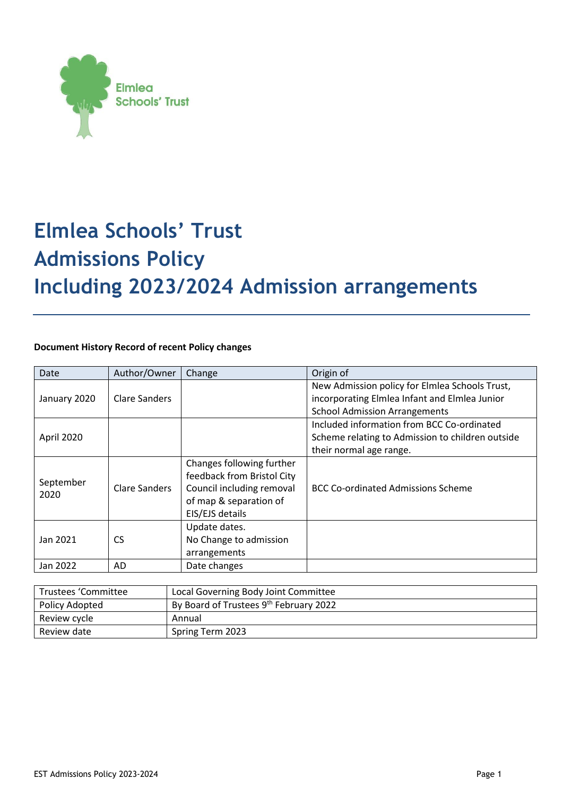

# **Elmlea Schools' Trust Admissions Policy Including 2023/2024 Admission arrangements**

# **Document History Record of recent Policy changes**

| Date              | Author/Owner  | Change                     | Origin of                                        |
|-------------------|---------------|----------------------------|--------------------------------------------------|
| January 2020      | Clare Sanders |                            | New Admission policy for Elmlea Schools Trust,   |
|                   |               |                            | incorporating Elmlea Infant and Elmlea Junior    |
|                   |               |                            | <b>School Admission Arrangements</b>             |
| April 2020        |               |                            | Included information from BCC Co-ordinated       |
|                   |               |                            | Scheme relating to Admission to children outside |
|                   |               |                            | their normal age range.                          |
| September<br>2020 |               | Changes following further  |                                                  |
|                   |               | feedback from Bristol City |                                                  |
|                   | Clare Sanders | Council including removal  | BCC Co-ordinated Admissions Scheme               |
|                   |               | of map & separation of     |                                                  |
|                   |               | EIS/EJS details            |                                                  |
| Jan 2021          | <b>CS</b>     | Update dates.              |                                                  |
|                   |               | No Change to admission     |                                                  |
|                   |               | arrangements               |                                                  |
| Jan 2022          | AD            | Date changes               |                                                  |

| Trustees 'Committee | Local Governing Body Joint Committee   |
|---------------------|----------------------------------------|
| Policy Adopted      | By Board of Trustees 9th February 2022 |
| Review cycle        | Annual                                 |
| Review date         | Spring Term 2023                       |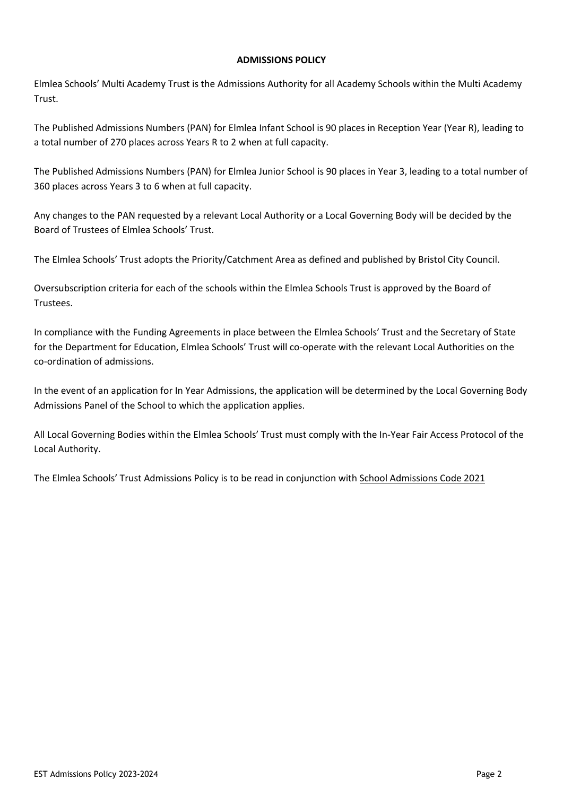## **ADMISSIONS POLICY**

Elmlea Schools' Multi Academy Trust is the Admissions Authority for all Academy Schools within the Multi Academy Trust.

The Published Admissions Numbers (PAN) for Elmlea Infant School is 90 places in Reception Year (Year R), leading to a total number of 270 places across Years R to 2 when at full capacity.

The Published Admissions Numbers (PAN) for Elmlea Junior School is 90 places in Year 3, leading to a total number of 360 places across Years 3 to 6 when at full capacity.

Any changes to the PAN requested by a relevant Local Authority or a Local Governing Body will be decided by the Board of Trustees of Elmlea Schools' Trust.

The Elmlea Schools' Trust adopts the Priority/Catchment Area as defined and published by Bristol City Council.

Oversubscription criteria for each of the schools within the Elmlea Schools Trust is approved by the Board of Trustees.

In compliance with the Funding Agreements in place between the Elmlea Schools' Trust and the Secretary of State for the Department for Education, Elmlea Schools' Trust will co-operate with the relevant Local Authorities on the co-ordination of admissions.

In the event of an application for In Year Admissions, the application will be determined by the Local Governing Body Admissions Panel of the School to which the application applies.

All Local Governing Bodies within the Elmlea Schools' Trust must comply with the In-Year Fair Access Protocol of the Local Authority.

The Elmlea Schools' Trust Admissions Policy is to be read in conjunction with [School Admissions Code 2021](https://assets.publishing.service.gov.uk/government/uploads/system/uploads/attachment_data/file/1001050/School_admissions_code_2021.pdf)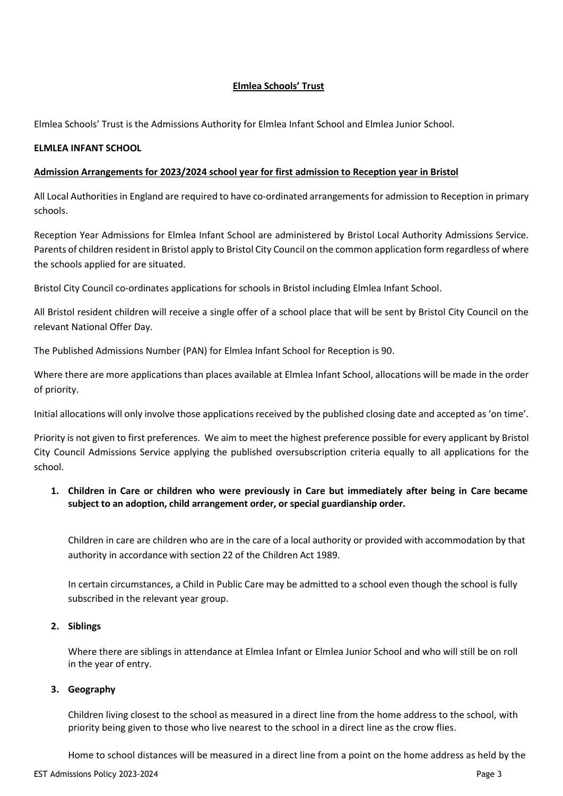# **Elmlea Schools' Trust**

Elmlea Schools' Trust is the Admissions Authority for Elmlea Infant School and Elmlea Junior School.

### **ELMLEA INFANT SCHOOL**

### **Admission Arrangements for 2023/2024 school year for first admission to Reception year in Bristol**

All Local Authorities in England are required to have co-ordinated arrangements for admission to Reception in primary schools.

Reception Year Admissions for Elmlea Infant School are administered by Bristol Local Authority Admissions Service. Parents of children resident in Bristol apply to Bristol City Council on the common application form regardless of where the schools applied for are situated.

Bristol City Council co-ordinates applications for schools in Bristol including Elmlea Infant School.

All Bristol resident children will receive a single offer of a school place that will be sent by Bristol City Council on the relevant National Offer Day.

The Published Admissions Number (PAN) for Elmlea Infant School for Reception is 90.

Where there are more applications than places available at Elmlea Infant School, allocations will be made in the order of priority.

Initial allocations will only involve those applications received by the published closing date and accepted as 'on time'.

Priority is not given to first preferences. We aim to meet the highest preference possible for every applicant by Bristol City Council Admissions Service applying the published oversubscription criteria equally to all applications for the school.

# **1. Children in Care or children who were previously in Care but immediately after being in Care became subject to an adoption, child arrangement order, or special guardianship order.**

Children in care are children who are in the care of a local authority or provided with accommodation by that authority in accordance with section 22 of the Children Act 1989.

In certain circumstances, a Child in Public Care may be admitted to a school even though the school is fully subscribed in the relevant year group.

#### **2. Siblings**

Where there are siblings in attendance at Elmlea Infant or Elmlea Junior School and who will still be on roll in the year of entry.

#### **3. Geography**

Children living closest to the school as measured in a direct line from the home address to the school, with priority being given to those who live nearest to the school in a direct line as the crow flies.

Home to school distances will be measured in a direct line from a point on the home address as held by the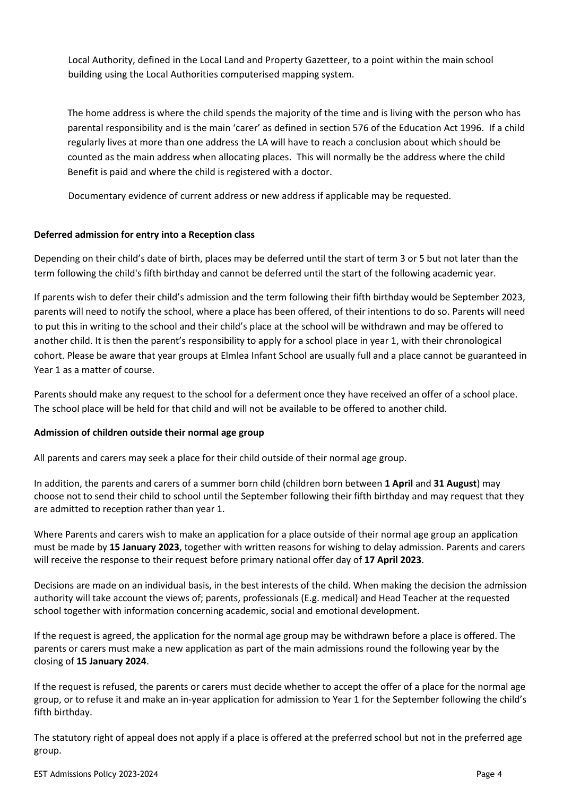Local Authority, defined in the Local Land and Property Gazetteer, to a point within the main school building using the Local Authorities computerised mapping system.

The home address is where the child spends the majority of the time and is living with the person who has parental responsibility and is the main 'carer' as defined in section 576 of the Education Act 1996. If a child regularly lives at more than one address the LA will have to reach a conclusion about which should be counted as the main address when allocating places. This will normally be the address where the child Benefit is paid and where the child is registered with a doctor.

Documentary evidence of current address or new address if applicable may be requested.

# **Deferred admission for entry into a Reception class**

Depending on their child's date of birth, places may be deferred until the start of term 3 or 5 but not later than the term following the child's fifth birthday and cannot be deferred until the start of the following academic year.

If parents wish to defer their child's admission and the term following their fifth birthday would be September 2023, parents will need to notify the school, where a place has been offered, of their intentions to do so. Parents will need to put this in writing to the school and their child's place at the school will be withdrawn and may be offered to another child. It is then the parent's responsibility to apply for a school place in year 1, with their chronological cohort. Please be aware that year groups at Elmlea Infant School are usually full and a place cannot be guaranteed in Year 1 as a matter of course.

Parents should make any request to the school for a deferment once they have received an offer of a school place. The school place will be held for that child and will not be available to be offered to another child.

# **Admission of children outside their normal age group**

All parents and carers may seek a place for their child outside of their normal age group.

In addition, the parents and carers of a summer born child (children born between **1 April** and **31 August**) may choose not to send their child to school until the September following their fifth birthday and may request that they are admitted to reception rather than year 1.

Where Parents and carers wish to make an application for a place outside of their normal age group an application must be made by **15 January 2023**, together with written reasons for wishing to delay admission. Parents and carers will receive the response to their request before primary national offer day of **17 April 2023**.

Decisions are made on an individual basis, in the best interests of the child. When making the decision the admission authority will take account the views of; parents, professionals (E.g. medical) and Head Teacher at the requested school together with information concerning academic, social and emotional development.

If the request is agreed, the application for the normal age group may be withdrawn before a place is offered. The parents or carers must make a new application as part of the main admissions round the following year by the closing of **15 January 2024**.

If the request is refused, the parents or carers must decide whether to accept the offer of a place for the normal age group, or to refuse it and make an in-year application for admission to Year 1 for the September following the child's fifth birthday.

The statutory right of appeal does not apply if a place is offered at the preferred school but not in the preferred age group.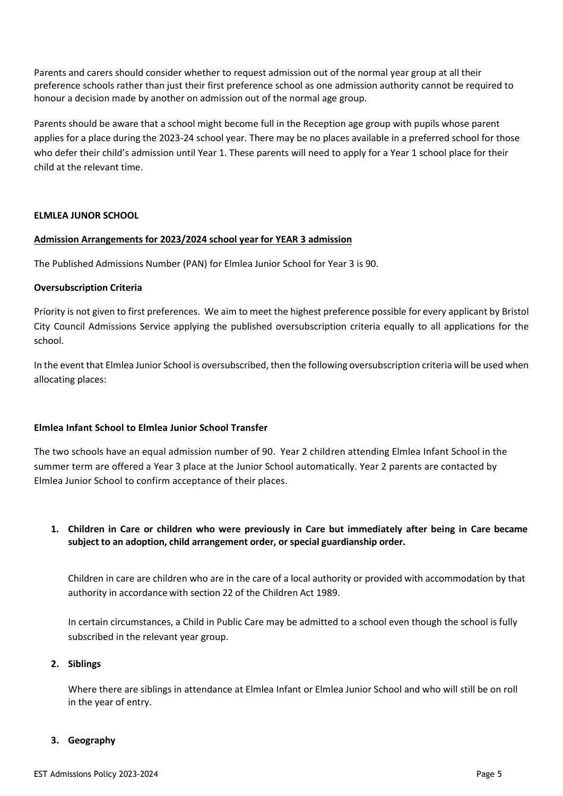Parents and carers should consider whether to request admission out of the normal year group at all their preference schools rather than just their first preference school as one admission authority cannot be required to honour a decision made by another on admission out of the normal age group.

Parents should be aware that a school might become full in the Reception age group with pupils whose parent applies for a place during the 2023-24 school year. There may be no places available in a preferred school for those who defer their child's admission until Year 1. These parents will need to apply for a Year 1 school place for their child at the relevant time.

#### **ELMLEA JUNOR SCHOOL**

#### **Admission Arrangements for 2023/2024 school year for YEAR 3 admission**

The Published Admissions Number (PAN) for Elmlea Junior School for Year 3 is 90.

## **Oversubscription Criteria**

Priority is not given to first preferences. We aim to meet the highest preference possible for every applicant by Bristol City Council Admissions Service applying the published oversubscription criteria equally to all applications for the school.

In the event that Elmlea Junior School is oversubscribed, then the following oversubscription criteria will be used when allocating places:

# **Elmlea Infant School to Elmlea Junior School Transfer**

The two schools have an equal admission number of 90. Year 2 children attending Elmlea Infant School in the summer term are offered a Year 3 place at the Junior School automatically. Year 2 parents are contacted by Elmlea Junior School to confirm acceptance of their places.

# **1. Children in Care or children who were previously in Care but immediately after being in Care became subject to an adoption, child arrangement order, or special guardianship order.**

Children in care are children who are in the care of a local authority or provided with accommodation by that authority in accordance with section 22 of the Children Act 1989.

In certain circumstances, a Child in Public Care may be admitted to a school even though the school is fully subscribed in the relevant year group.

#### **2. Siblings**

Where there are siblings in attendance at Elmlea Infant or Elmlea Junior School and who will still be on roll in the year of entry.

#### **3. Geography**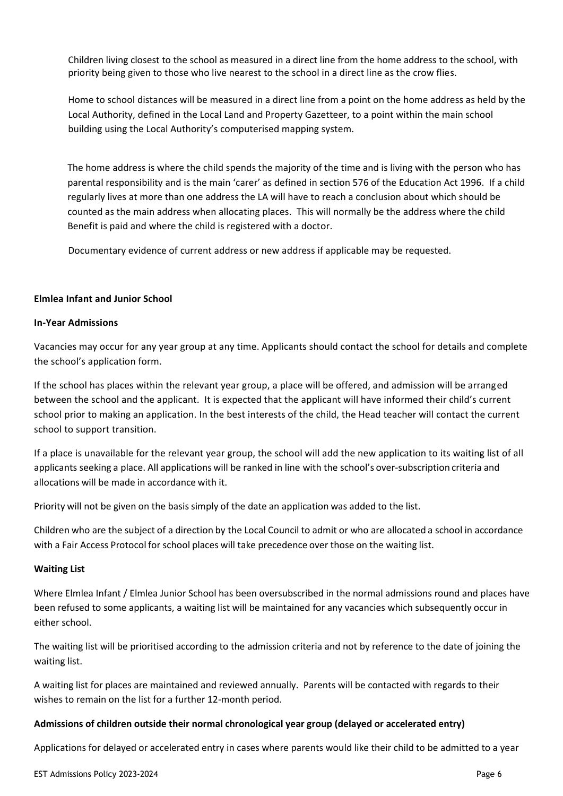Children living closest to the school as measured in a direct line from the home address to the school, with priority being given to those who live nearest to the school in a direct line as the crow flies.

Home to school distances will be measured in a direct line from a point on the home address as held by the Local Authority, defined in the Local Land and Property Gazetteer, to a point within the main school building using the Local Authority's computerised mapping system.

The home address is where the child spends the majority of the time and is living with the person who has parental responsibility and is the main 'carer' as defined in section 576 of the Education Act 1996. If a child regularly lives at more than one address the LA will have to reach a conclusion about which should be counted as the main address when allocating places. This will normally be the address where the child Benefit is paid and where the child is registered with a doctor.

Documentary evidence of current address or new address if applicable may be requested.

#### **Elmlea Infant and Junior School**

#### **In-Year Admissions**

Vacancies may occur for any year group at any time. Applicants should contact the school for details and complete the school's application form.

If the school has places within the relevant year group, a place will be offered, and admission will be arranged between the school and the applicant. It is expected that the applicant will have informed their child's current school prior to making an application. In the best interests of the child, the Head teacher will contact the current school to support transition.

If a place is unavailable for the relevant year group, the school will add the new application to its waiting list of all applicants seeking a place. All applications will be ranked in line with the school's over-subscription criteria and allocations will be made in accordance with it.

Priority will not be given on the basis simply of the date an application was added to the list.

Children who are the subject of a direction by the Local Council to admit or who are allocated a school in accordance with a Fair Access Protocol for school places will take precedence over those on the waiting list.

#### **Waiting List**

Where Elmlea Infant / Elmlea Junior School has been oversubscribed in the normal admissions round and places have been refused to some applicants, a waiting list will be maintained for any vacancies which subsequently occur in either school.

The waiting list will be prioritised according to the admission criteria and not by reference to the date of joining the waiting list.

A waiting list for places are maintained and reviewed annually. Parents will be contacted with regards to their wishes to remain on the list for a further 12-month period.

#### **Admissions of children outside their normal chronological year group (delayed or accelerated entry)**

Applications for delayed or accelerated entry in cases where parents would like their child to be admitted to a year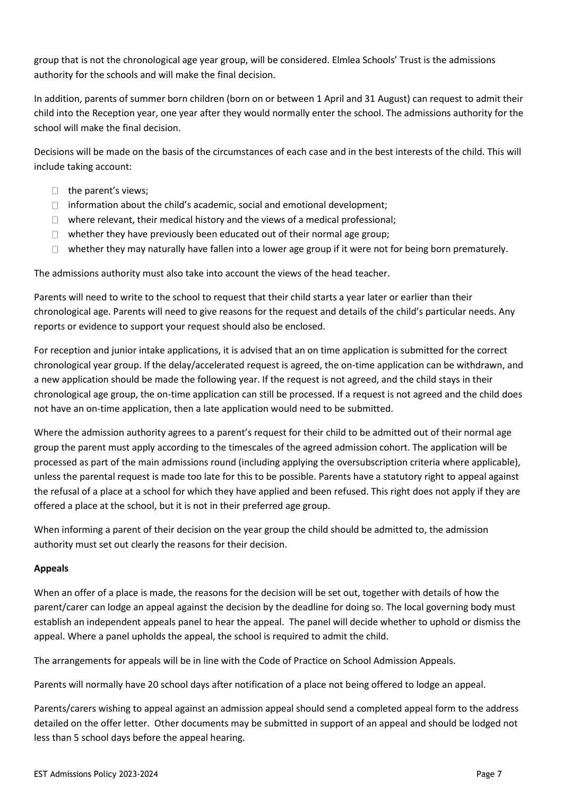group that is not the chronological age year group, will be considered. Elmlea Schools' Trust is the admissions authority for the schools and will make the final decision.

In addition, parents of summer born children (born on or between 1 April and 31 August) can request to admit their child into the Reception year, one year after they would normally enter the school. The admissions authority for the school will make the final decision.

Decisions will be made on the basis of the circumstances of each case and in the best interests of the child. This will include taking account:

- $\Box$  the parent's views;
- $\Box$  information about the child's academic, social and emotional development;
- $\Box$  where relevant, their medical history and the views of a medical professional;
- $\Box$  whether they have previously been educated out of their normal age group;
- $\Box$  whether they may naturally have fallen into a lower age group if it were not for being born prematurely.

The admissions authority must also take into account the views of the head teacher.

Parents will need to write to the school to request that their child starts a year later or earlier than their chronological age. Parents will need to give reasons for the request and details of the child's particular needs. Any reports or evidence to support your request should also be enclosed.

For reception and junior intake applications, it is advised that an on time application is submitted for the correct chronological year group. If the delay/accelerated request is agreed, the on-time application can be withdrawn, and a new application should be made the following year. If the request is not agreed, and the child stays in their chronological age group, the on-time application can still be processed. If a request is not agreed and the child does not have an on-time application, then a late application would need to be submitted.

Where the admission authority agrees to a parent's request for their child to be admitted out of their normal age group the parent must apply according to the timescales of the agreed admission cohort. The application will be processed as part of the main admissions round (including applying the oversubscription criteria where applicable), unless the parental request is made too late for this to be possible. Parents have a statutory right to appeal against the refusal of a place at a school for which they have applied and been refused. This right does not apply if they are offered a place at the school, but it is not in their preferred age group.

When informing a parent of their decision on the year group the child should be admitted to, the admission authority must set out clearly the reasons for their decision.

# **Appeals**

When an offer of a place is made, the reasons for the decision will be set out, together with details of how the parent/carer can lodge an appeal against the decision by the deadline for doing so. The local governing body must establish an independent appeals panel to hear the appeal. The panel will decide whether to uphold or dismiss the appeal. Where a panel upholds the appeal, the school is required to admit the child.

The arrangements for appeals will be in line with the Code of Practice on School Admission Appeals.

Parents will normally have 20 school days after notification of a place not being offered to lodge an appeal.

Parents/carers wishing to appeal against an admission appeal should send a completed appeal form to the address detailed on the offer letter. Other documents may be submitted in support of an appeal and should be lodged not less than 5 school days before the appeal hearing.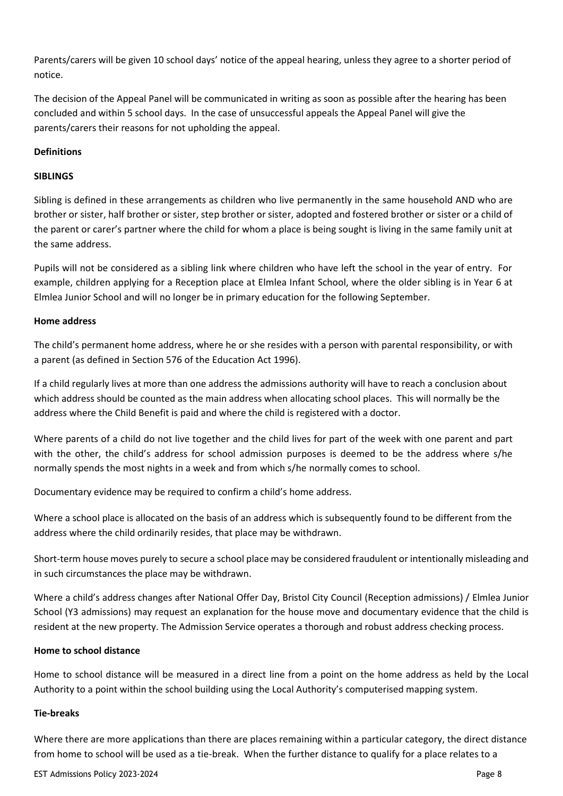Parents/carers will be given 10 school days' notice of the appeal hearing, unless they agree to a shorter period of notice.

The decision of the Appeal Panel will be communicated in writing as soon as possible after the hearing has been concluded and within 5 school days. In the case of unsuccessful appeals the Appeal Panel will give the parents/carers their reasons for not upholding the appeal.

## **Definitions**

### **SIBLINGS**

Sibling is defined in these arrangements as children who live permanently in the same household AND who are brother or sister, half brother or sister, step brother or sister, adopted and fostered brother or sister or a child of the parent or carer's partner where the child for whom a place is being sought is living in the same family unit at the same address.

Pupils will not be considered as a sibling link where children who have left the school in the year of entry. For example, children applying for a Reception place at Elmlea Infant School, where the older sibling is in Year 6 at Elmlea Junior School and will no longer be in primary education for the following September.

#### **Home address**

The child's permanent home address, where he or she resides with a person with parental responsibility, or with a parent (as defined in Section 576 of the Education Act 1996).

If a child regularly lives at more than one address the admissions authority will have to reach a conclusion about which address should be counted as the main address when allocating school places. This will normally be the address where the Child Benefit is paid and where the child is registered with a doctor.

Where parents of a child do not live together and the child lives for part of the week with one parent and part with the other, the child's address for school admission purposes is deemed to be the address where s/he normally spends the most nights in a week and from which s/he normally comes to school.

Documentary evidence may be required to confirm a child's home address.

Where a school place is allocated on the basis of an address which is subsequently found to be different from the address where the child ordinarily resides, that place may be withdrawn.

Short-term house moves purely to secure a school place may be considered fraudulent or intentionally misleading and in such circumstances the place may be withdrawn.

Where a child's address changes after National Offer Day, Bristol City Council (Reception admissions) / Elmlea Junior School (Y3 admissions) may request an explanation for the house move and documentary evidence that the child is resident at the new property. The Admission Service operates a thorough and robust address checking process.

#### **Home to school distance**

Home to school distance will be measured in a direct line from a point on the home address as held by the Local Authority to a point within the school building using the Local Authority's computerised mapping system.

#### **Tie-breaks**

Where there are more applications than there are places remaining within a particular category, the direct distance from home to school will be used as a tie-break. When the further distance to qualify for a place relates to a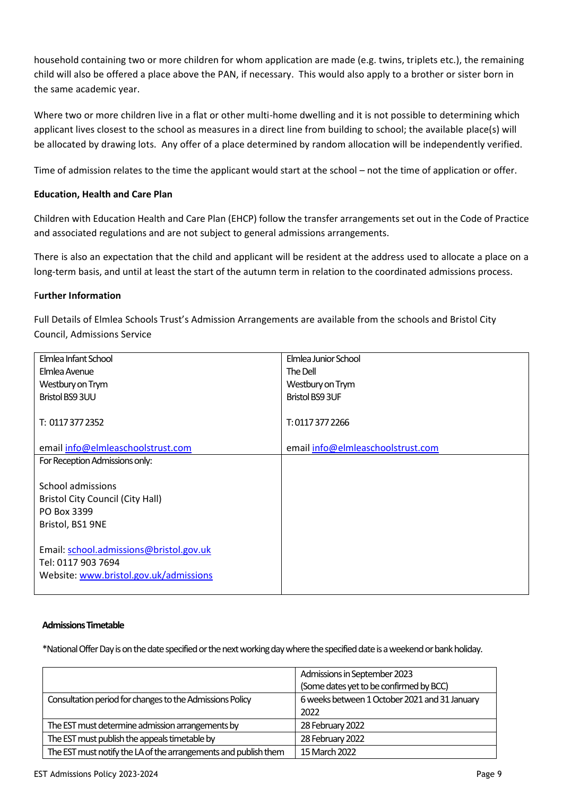household containing two or more children for whom application are made (e.g. twins, triplets etc.), the remaining child will also be offered a place above the PAN, if necessary. This would also apply to a brother or sister born in the same academic year.

Where two or more children live in a flat or other multi-home dwelling and it is not possible to determining which applicant lives closest to the school as measures in a direct line from building to school; the available place(s) will be allocated by drawing lots. Any offer of a place determined by random allocation will be independently verified.

Time of admission relates to the time the applicant would start at the school – not the time of application or offer.

## **Education, Health and Care Plan**

Children with Education Health and Care Plan (EHCP) follow the transfer arrangements set out in the Code of Practice and associated regulations and are not subject to general admissions arrangements.

There is also an expectation that the child and applicant will be resident at the address used to allocate a place on a long-term basis, and until at least the start of the autumn term in relation to the coordinated admissions process.

## F**urther Information**

Full Details of Elmlea Schools Trust's Admission Arrangements are available from the schools and Bristol City Council, Admissions Service

| Elmlea Infant School                    | Elmlea Junior School              |
|-----------------------------------------|-----------------------------------|
| Elmlea Avenue                           | The Dell                          |
| Westbury on Trym                        | Westbury on Trym                  |
| Bristol BS9 3UU                         | <b>Bristol BS9 3UF</b>            |
|                                         |                                   |
| T: 0117 377 2352                        | T: 0117 377 2266                  |
|                                         |                                   |
| email info@elmleaschoolstrust.com       | email info@elmleaschoolstrust.com |
| For Reception Admissions only:          |                                   |
|                                         |                                   |
| School admissions                       |                                   |
| <b>Bristol City Council (City Hall)</b> |                                   |
| PO Box 3399                             |                                   |
| Bristol, BS1 9NE                        |                                   |
|                                         |                                   |
| Email: school.admissions@bristol.gov.uk |                                   |
| Tel: 0117 903 7694                      |                                   |
| Website: www.bristol.gov.uk/admissions  |                                   |
|                                         |                                   |

#### **Admissions Timetable**

\*National Offer Day is on the date specified or the next working day where the specified date is a weekend or bank holiday.

|                                                                 | Admissions in September 2023                  |
|-----------------------------------------------------------------|-----------------------------------------------|
|                                                                 | (Some dates yet to be confirmed by BCC)       |
| Consultation period for changes to the Admissions Policy        | 6 weeks between 1 October 2021 and 31 January |
|                                                                 | 2022                                          |
| The EST must determine admission arrangements by                | 28 February 2022                              |
| The EST must publish the appeals timetable by                   | 28 February 2022                              |
| The EST must notify the LA of the arrangements and publish them | 15 March 2022                                 |